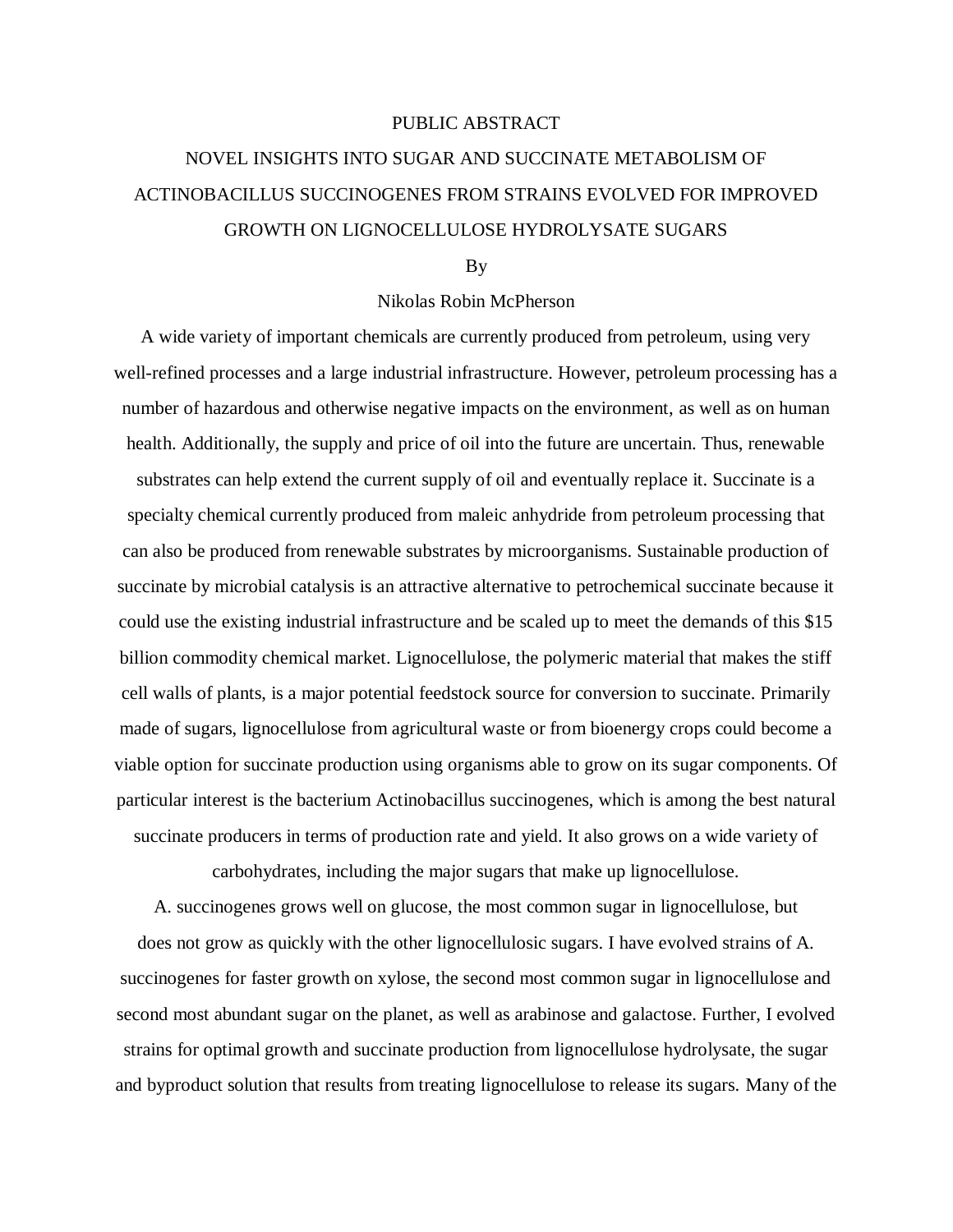## PUBLIC ABSTRACT

# NOVEL INSIGHTS INTO SUGAR AND SUCCINATE METABOLISM OF ACTINOBACILLUS SUCCINOGENES FROM STRAINS EVOLVED FOR IMPROVED GROWTH ON LIGNOCELLULOSE HYDROLYSATE SUGARS

#### By

## Nikolas Robin McPherson

A wide variety of important chemicals are currently produced from petroleum, using very well-refined processes and a large industrial infrastructure. However, petroleum processing has a number of hazardous and otherwise negative impacts on the environment, as well as on human health. Additionally, the supply and price of oil into the future are uncertain. Thus, renewable substrates can help extend the current supply of oil and eventually replace it. Succinate is a specialty chemical currently produced from maleic anhydride from petroleum processing that can also be produced from renewable substrates by microorganisms. Sustainable production of succinate by microbial catalysis is an attractive alternative to petrochemical succinate because it could use the existing industrial infrastructure and be scaled up to meet the demands of this \$15 billion commodity chemical market. Lignocellulose, the polymeric material that makes the stiff cell walls of plants, is a major potential feedstock source for conversion to succinate. Primarily made of sugars, lignocellulose from agricultural waste or from bioenergy crops could become a viable option for succinate production using organisms able to grow on its sugar components. Of particular interest is the bacterium Actinobacillus succinogenes, which is among the best natural succinate producers in terms of production rate and yield. It also grows on a wide variety of

carbohydrates, including the major sugars that make up lignocellulose.

A. succinogenes grows well on glucose, the most common sugar in lignocellulose, but does not grow as quickly with the other lignocellulosic sugars. I have evolved strains of A. succinogenes for faster growth on xylose, the second most common sugar in lignocellulose and second most abundant sugar on the planet, as well as arabinose and galactose. Further, I evolved strains for optimal growth and succinate production from lignocellulose hydrolysate, the sugar and byproduct solution that results from treating lignocellulose to release its sugars. Many of the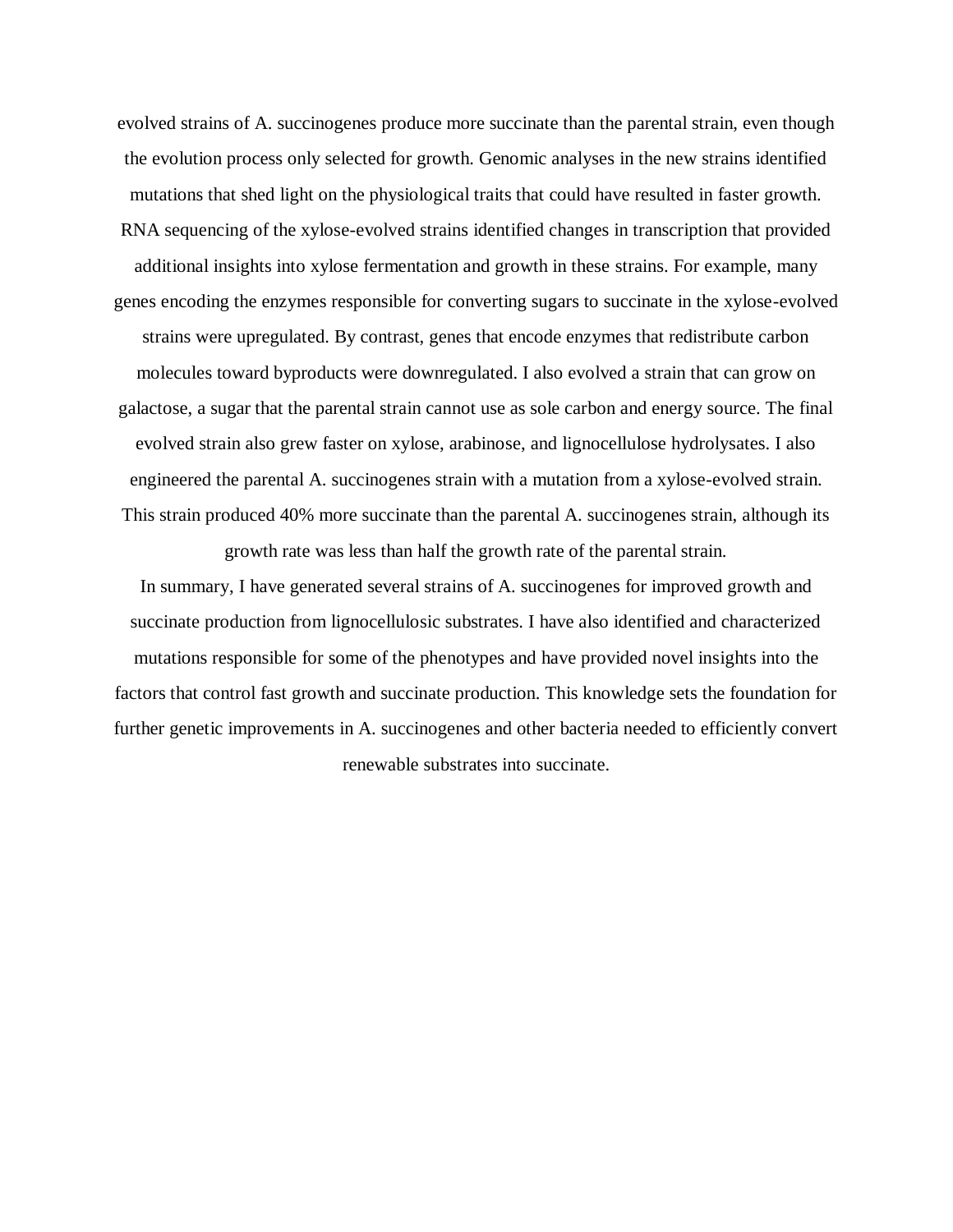evolved strains of A. succinogenes produce more succinate than the parental strain, even though the evolution process only selected for growth. Genomic analyses in the new strains identified mutations that shed light on the physiological traits that could have resulted in faster growth. RNA sequencing of the xylose-evolved strains identified changes in transcription that provided additional insights into xylose fermentation and growth in these strains. For example, many genes encoding the enzymes responsible for converting sugars to succinate in the xylose-evolved strains were upregulated. By contrast, genes that encode enzymes that redistribute carbon molecules toward byproducts were downregulated. I also evolved a strain that can grow on galactose, a sugar that the parental strain cannot use as sole carbon and energy source. The final evolved strain also grew faster on xylose, arabinose, and lignocellulose hydrolysates. I also engineered the parental A. succinogenes strain with a mutation from a xylose-evolved strain. This strain produced 40% more succinate than the parental A. succinogenes strain, although its

growth rate was less than half the growth rate of the parental strain.

In summary, I have generated several strains of A. succinogenes for improved growth and succinate production from lignocellulosic substrates. I have also identified and characterized mutations responsible for some of the phenotypes and have provided novel insights into the factors that control fast growth and succinate production. This knowledge sets the foundation for further genetic improvements in A. succinogenes and other bacteria needed to efficiently convert renewable substrates into succinate.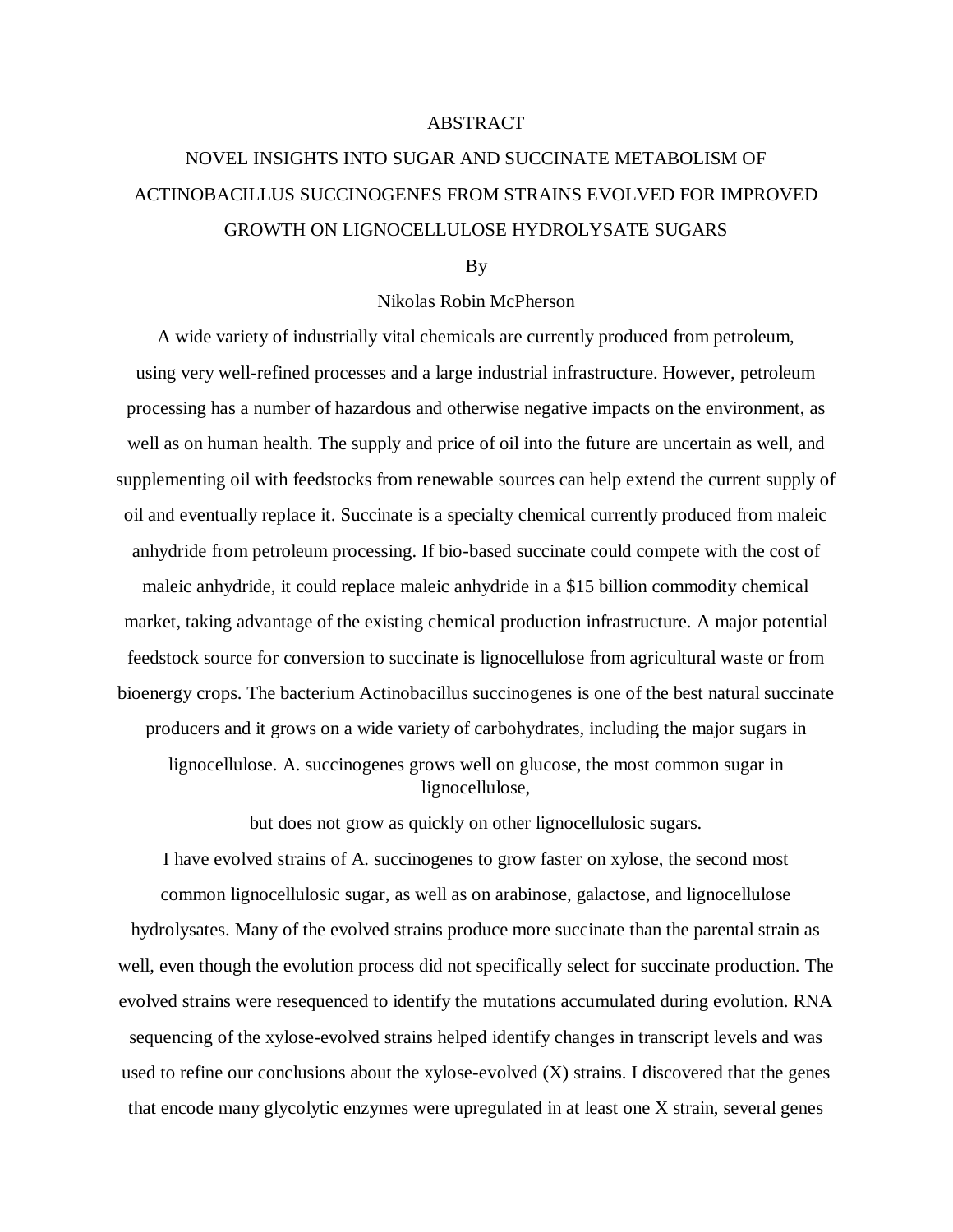### ABSTRACT

# NOVEL INSIGHTS INTO SUGAR AND SUCCINATE METABOLISM OF ACTINOBACILLUS SUCCINOGENES FROM STRAINS EVOLVED FOR IMPROVED GROWTH ON LIGNOCELLULOSE HYDROLYSATE SUGARS

By

#### Nikolas Robin McPherson

A wide variety of industrially vital chemicals are currently produced from petroleum, using very well-refined processes and a large industrial infrastructure. However, petroleum processing has a number of hazardous and otherwise negative impacts on the environment, as well as on human health. The supply and price of oil into the future are uncertain as well, and supplementing oil with feedstocks from renewable sources can help extend the current supply of oil and eventually replace it. Succinate is a specialty chemical currently produced from maleic anhydride from petroleum processing. If bio-based succinate could compete with the cost of maleic anhydride, it could replace maleic anhydride in a \$15 billion commodity chemical market, taking advantage of the existing chemical production infrastructure. A major potential feedstock source for conversion to succinate is lignocellulose from agricultural waste or from bioenergy crops. The bacterium Actinobacillus succinogenes is one of the best natural succinate producers and it grows on a wide variety of carbohydrates, including the major sugars in lignocellulose. A. succinogenes grows well on glucose, the most common sugar in lignocellulose,

but does not grow as quickly on other lignocellulosic sugars.

I have evolved strains of A. succinogenes to grow faster on xylose, the second most common lignocellulosic sugar, as well as on arabinose, galactose, and lignocellulose hydrolysates. Many of the evolved strains produce more succinate than the parental strain as well, even though the evolution process did not specifically select for succinate production. The evolved strains were resequenced to identify the mutations accumulated during evolution. RNA sequencing of the xylose-evolved strains helped identify changes in transcript levels and was used to refine our conclusions about the xylose-evolved (X) strains. I discovered that the genes that encode many glycolytic enzymes were upregulated in at least one X strain, several genes